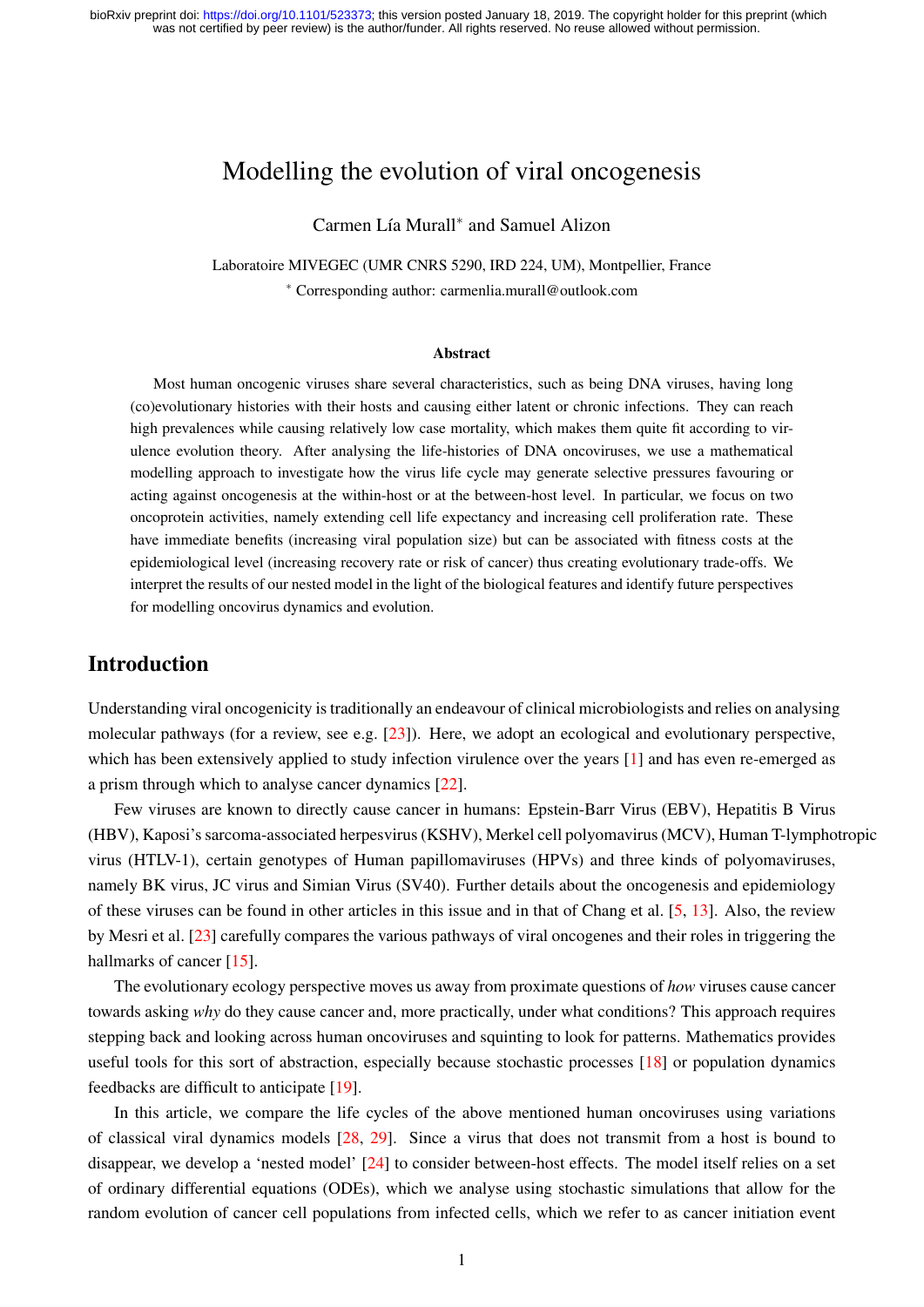# Modelling the evolution of viral oncogenesis

Carmen Lía Murall<sup>∗</sup> and Samuel Alizon

Laboratoire MIVEGEC (UMR CNRS 5290, IRD 224, UM), Montpellier, France <sup>∗</sup> Corresponding author: carmenlia.murall@outlook.com

#### Abstract

Most human oncogenic viruses share several characteristics, such as being DNA viruses, having long (co)evolutionary histories with their hosts and causing either latent or chronic infections. They can reach high prevalences while causing relatively low case mortality, which makes them quite fit according to virulence evolution theory. After analysing the life-histories of DNA oncoviruses, we use a mathematical modelling approach to investigate how the virus life cycle may generate selective pressures favouring or acting against oncogenesis at the within-host or at the between-host level. In particular, we focus on two oncoprotein activities, namely extending cell life expectancy and increasing cell proliferation rate. These have immediate benefits (increasing viral population size) but can be associated with fitness costs at the epidemiological level (increasing recovery rate or risk of cancer) thus creating evolutionary trade-offs. We interpret the results of our nested model in the light of the biological features and identify future perspectives for modelling oncovirus dynamics and evolution.

## Introduction

Understanding viral oncogenicity is traditionally an endeavour of clinical microbiologists and relies on analysing molecular pathways (for a review, see e.g.  $[23]$ ). Here, we adopt an ecological and evolutionary perspective, which has been extensively applied to study infection virulence over the years [\[1\]](#page-11-0) and has even re-emerged as a prism through which to analyse cancer dynamics [\[22\]](#page-12-1).

Few viruses are known to directly cause cancer in humans: Epstein-Barr Virus (EBV), Hepatitis B Virus (HBV), Kaposi's sarcoma-associated herpesvirus (KSHV), Merkel cell polyomavirus (MCV), Human T-lymphotropic virus (HTLV-1), certain genotypes of Human papillomaviruses (HPVs) and three kinds of polyomaviruses, namely BK virus, JC virus and Simian Virus (SV40). Further details about the oncogenesis and epidemiology of these viruses can be found in other articles in this issue and in that of Chang et al. [\[5,](#page-11-1) [13\]](#page-12-2). Also, the review by Mesri et al. [\[23\]](#page-12-0) carefully compares the various pathways of viral oncogenes and their roles in triggering the hallmarks of cancer [\[15\]](#page-12-3).

The evolutionary ecology perspective moves us away from proximate questions of *how* viruses cause cancer towards asking *why* do they cause cancer and, more practically, under what conditions? This approach requires stepping back and looking across human oncoviruses and squinting to look for patterns. Mathematics provides useful tools for this sort of abstraction, especially because stochastic processes [\[18\]](#page-12-4) or population dynamics feedbacks are difficult to anticipate [\[19\]](#page-12-5).

In this article, we compare the life cycles of the above mentioned human oncoviruses using variations of classical viral dynamics models [\[28,](#page-13-0) [29\]](#page-13-1). Since a virus that does not transmit from a host is bound to disappear, we develop a 'nested model' [\[24\]](#page-13-2) to consider between-host effects. The model itself relies on a set of ordinary differential equations (ODEs), which we analyse using stochastic simulations that allow for the random evolution of cancer cell populations from infected cells, which we refer to as cancer initiation event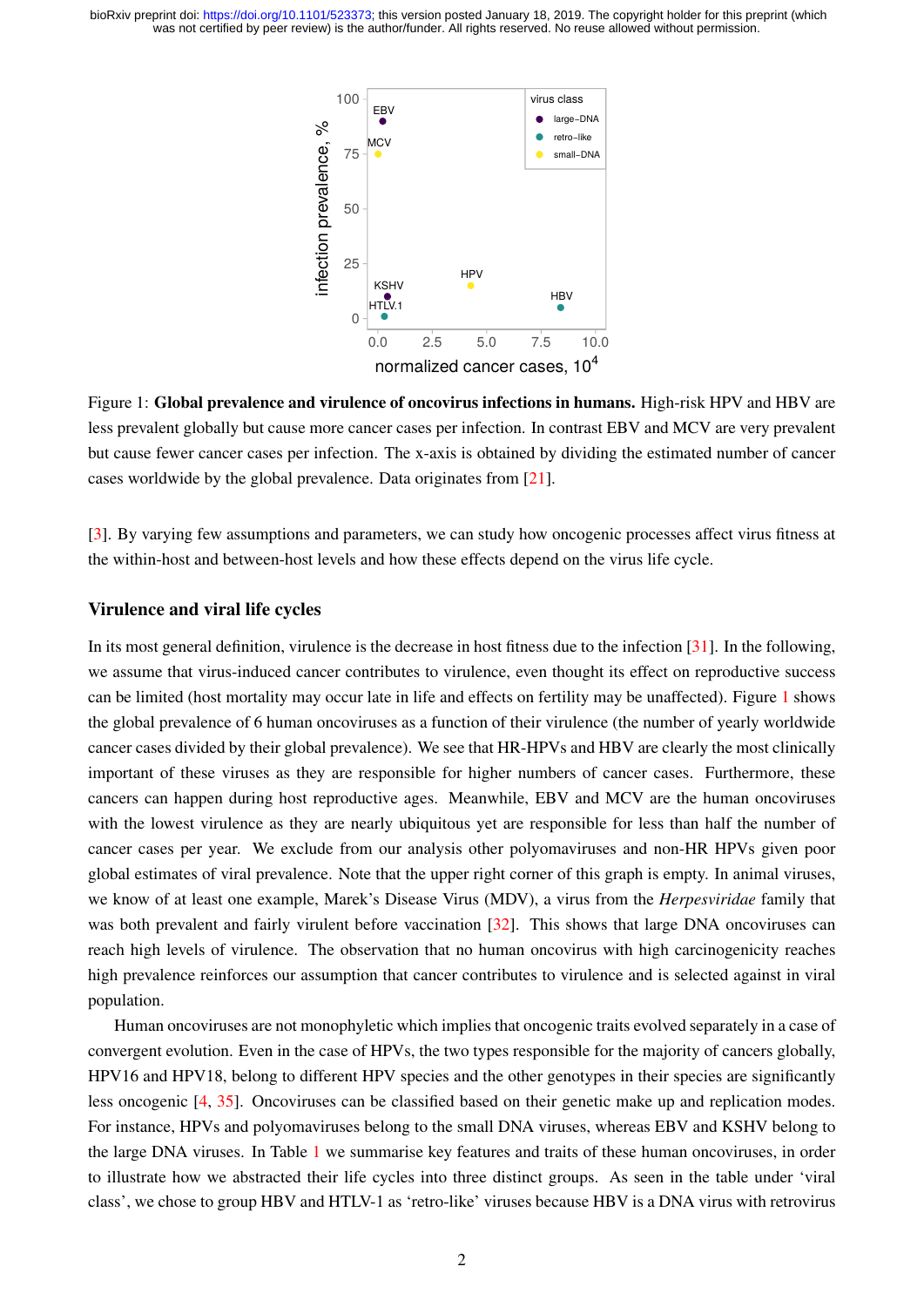<span id="page-1-0"></span>

Figure 1: Global prevalence and virulence of oncovirus infections in humans. High-risk HPV and HBV are less prevalent globally but cause more cancer cases per infection. In contrast EBV and MCV are very prevalent but cause fewer cancer cases per infection. The x-axis is obtained by dividing the estimated number of cancer cases worldwide by the global prevalence. Data originates from [\[21\]](#page-12-6).

[\[3\]](#page-11-2). By varying few assumptions and parameters, we can study how oncogenic processes affect virus fitness at the within-host and between-host levels and how these effects depend on the virus life cycle.

### Virulence and viral life cycles

In its most general definition, virulence is the decrease in host fitness due to the infection [\[31\]](#page-13-3). In the following, we assume that virus-induced cancer contributes to virulence, even thought its effect on reproductive success can be limited (host mortality may occur late in life and effects on fertility may be unaffected). Figure [1](#page-1-0) shows the global prevalence of 6 human oncoviruses as a function of their virulence (the number of yearly worldwide cancer cases divided by their global prevalence). We see that HR-HPVs and HBV are clearly the most clinically important of these viruses as they are responsible for higher numbers of cancer cases. Furthermore, these cancers can happen during host reproductive ages. Meanwhile, EBV and MCV are the human oncoviruses with the lowest virulence as they are nearly ubiquitous yet are responsible for less than half the number of cancer cases per year. We exclude from our analysis other polyomaviruses and non-HR HPVs given poor global estimates of viral prevalence. Note that the upper right corner of this graph is empty. In animal viruses, we know of at least one example, Marek's Disease Virus (MDV), a virus from the *Herpesviridae* family that was both prevalent and fairly virulent before vaccination [\[32\]](#page-13-4). This shows that large DNA oncoviruses can reach high levels of virulence. The observation that no human oncovirus with high carcinogenicity reaches high prevalence reinforces our assumption that cancer contributes to virulence and is selected against in viral population.

Human oncoviruses are not monophyletic which implies that oncogenic traits evolved separately in a case of convergent evolution. Even in the case of HPVs, the two types responsible for the majority of cancers globally, HPV16 and HPV18, belong to different HPV species and the other genotypes in their species are significantly less oncogenic [\[4,](#page-11-3) [35\]](#page-13-5). Oncoviruses can be classified based on their genetic make up and replication modes. For instance, HPVs and polyomaviruses belong to the small DNA viruses, whereas EBV and KSHV belong to the large DNA viruses. In Table [1](#page-3-0) we summarise key features and traits of these human oncoviruses, in order to illustrate how we abstracted their life cycles into three distinct groups. As seen in the table under 'viral class', we chose to group HBV and HTLV-1 as 'retro-like' viruses because HBV is a DNA virus with retrovirus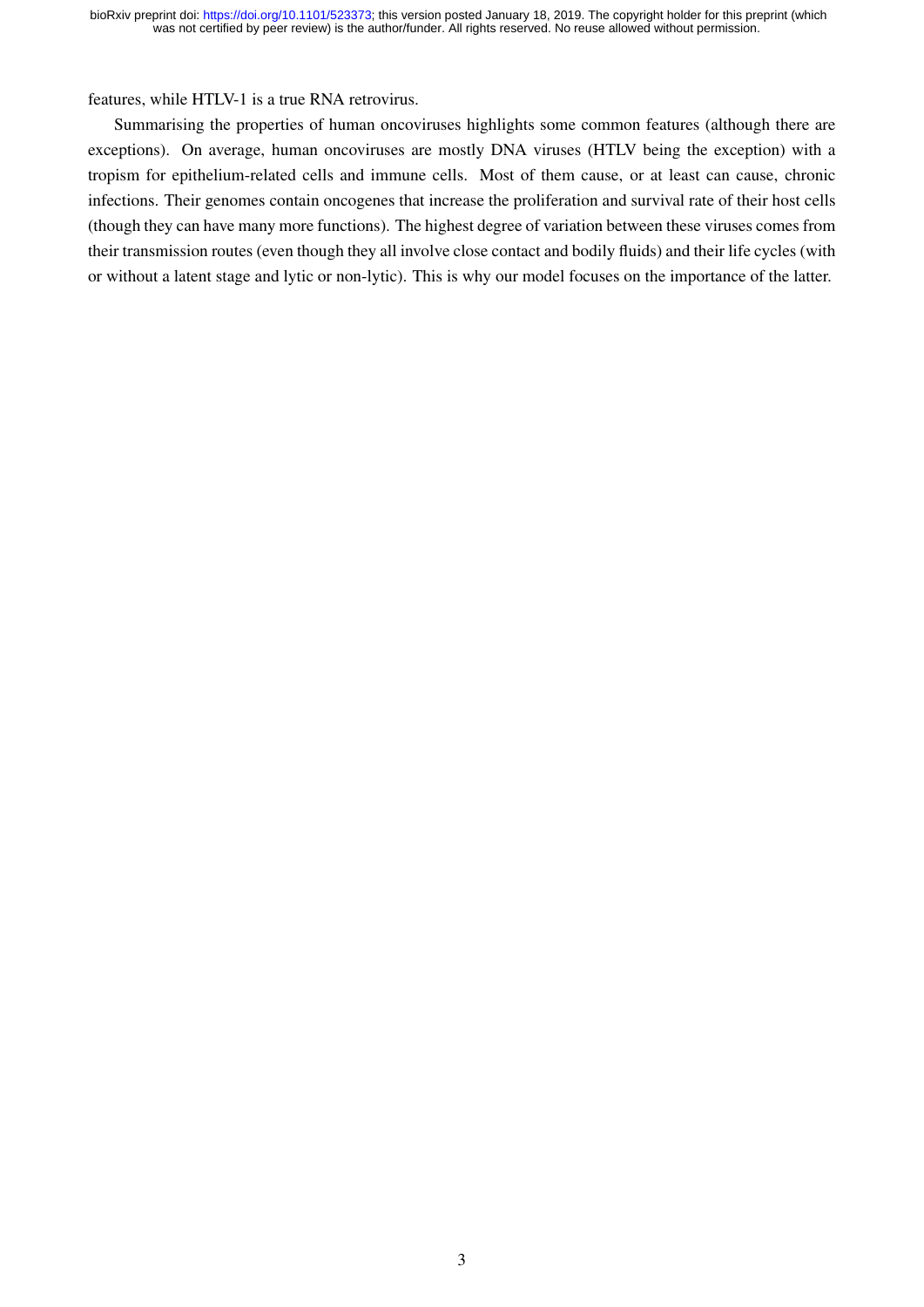features, while HTLV-1 is a true RNA retrovirus.

Summarising the properties of human oncoviruses highlights some common features (although there are exceptions). On average, human oncoviruses are mostly DNA viruses (HTLV being the exception) with a tropism for epithelium-related cells and immune cells. Most of them cause, or at least can cause, chronic infections. Their genomes contain oncogenes that increase the proliferation and survival rate of their host cells (though they can have many more functions). The highest degree of variation between these viruses comes from their transmission routes (even though they all involve close contact and bodily fluids) and their life cycles (with or without a latent stage and lytic or non-lytic). This is why our model focuses on the importance of the latter.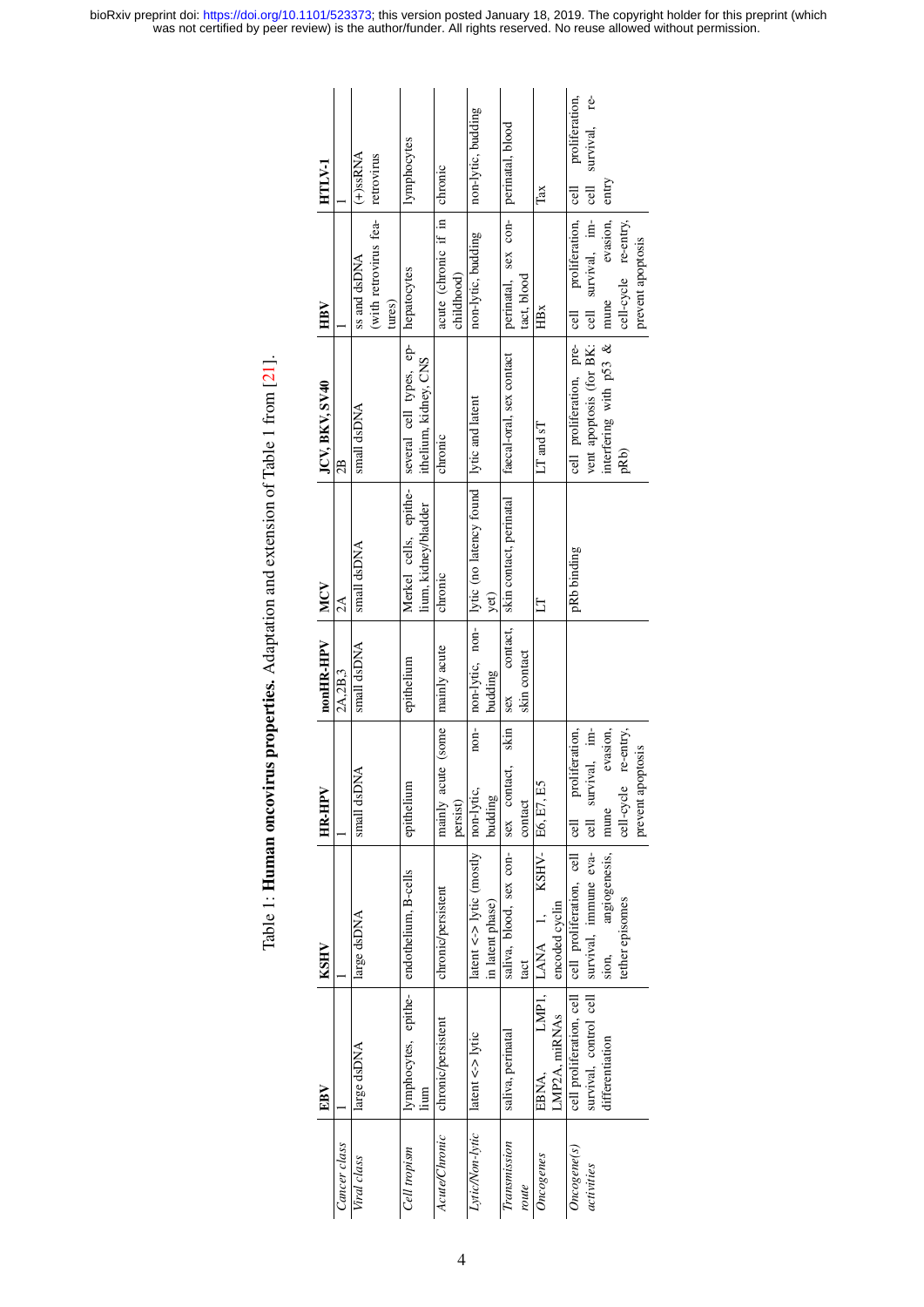<span id="page-3-0"></span>

|                 | EBV                                       | KSHV                                              | <b>HR-HPV</b>                    | nonHR-HPV       | MCV                                        | JCV, BKV, SV40                             | HBV                   | HTLV-1                     |
|-----------------|-------------------------------------------|---------------------------------------------------|----------------------------------|-----------------|--------------------------------------------|--------------------------------------------|-----------------------|----------------------------|
| Cancer class    |                                           |                                                   |                                  | 2A,2B,3         | $\mathbb{A}$                               | æ                                          |                       |                            |
| Viral class     | large dsDNA                               | large dsDNA                                       | Á<br>small dsDl                  | small dsDNA     | small dsDNA                                | small dsDNA                                | ss and dsDNA          | $(+)$ ssRNA                |
|                 |                                           |                                                   |                                  |                 |                                            |                                            | (with retrovirus fea- | retrovirus                 |
|                 |                                           |                                                   |                                  |                 |                                            |                                            | tures)                |                            |
| Cell tropism    | lymphocytes, epithe- endothelium, B-cells |                                                   | epithelium                       | epithelium      | Merkel cells, epithe-                      | several cell types, ep-   hepatocytes      |                       | lymphocytes                |
|                 | lium                                      |                                                   |                                  |                 | lium, kidney/bladder                       | ithelium, kidney, CNS                      |                       |                            |
| Acute/Chronic   | chronic/persistent                        | chronic/persistent                                | mainly acute (some               | mainly acute    | chronic                                    | chronic                                    | acute (chronic if in  | chronic                    |
|                 |                                           |                                                   | persist)                         |                 |                                            |                                            | childhood)            |                            |
| Lytic/Non-lytic | latent $\lt\gt$ lytic                     | latent $\lt\gt$ lytic (mostly   non-lytic,        | $nom-$                           | non-lytic, non- | lytic (no latency found   lytic and latent |                                            | non-lytic, budding    | non-lytic, budding         |
|                 |                                           | in latent phase)                                  | budding                          | budding         | yet)                                       |                                            |                       |                            |
| Transmission    | saliva, perinatal                         | saliva, blood, sex con-                           | skin<br>act,<br>sex cont         | contact,<br>sex | skin contact, perinatal                    | faecal-oral, sex contact                   | perinatal, sex con-   | perinatal, blood           |
| route           |                                           | tact                                              | contact                          | skin contact    |                                            |                                            | tact, blood           |                            |
| Oncogenes       | EBNA.                                     | KSHV-<br>LMP1, LANA 1,                            | E6, E7, E5                       |                 | 日                                          | $LT$ and $sT$                              | HBx                   | Tax                        |
|                 | LMP2A, miRNAs                             | encoded cyclin                                    |                                  |                 |                                            |                                            |                       |                            |
| Once gene(s)    |                                           | cell proliferation, cell cell proliferation, cell | proliferation,<br>$\overline{6}$ |                 | pRb binding                                | cell proliferation, pre- cell              | proliferation,        | proliferation,<br>$ $ cell |
| activities      | survival, control cell                    | survival, immune eva-                             | cell survival, im-               |                 |                                            | vent apoptosis (for BK: cell survival, im- |                       | survival, re-<br>ල්<br>ප   |
|                 | differentiation                           | angiogenesis,<br>sion,                            | evasion,<br>mune                 |                 |                                            | interfering with p53 $\&$ mume             | evasion,              | entry                      |
|                 |                                           | tether episomes                                   | re-entry,<br>cell-cycle          |                 |                                            | pRb)                                       | cell-cycle re-entry,  |                            |
|                 |                                           |                                                   | prevent apoptosis                |                 |                                            |                                            | prevent apoptosis     |                            |

Table 1: Human oncovirus properties. Adaptation and extension of Table 1 from [21]. Table 1: Human oncovirus properties. Adaptation and extension of Table 1 from [\[21\]](#page-12-6).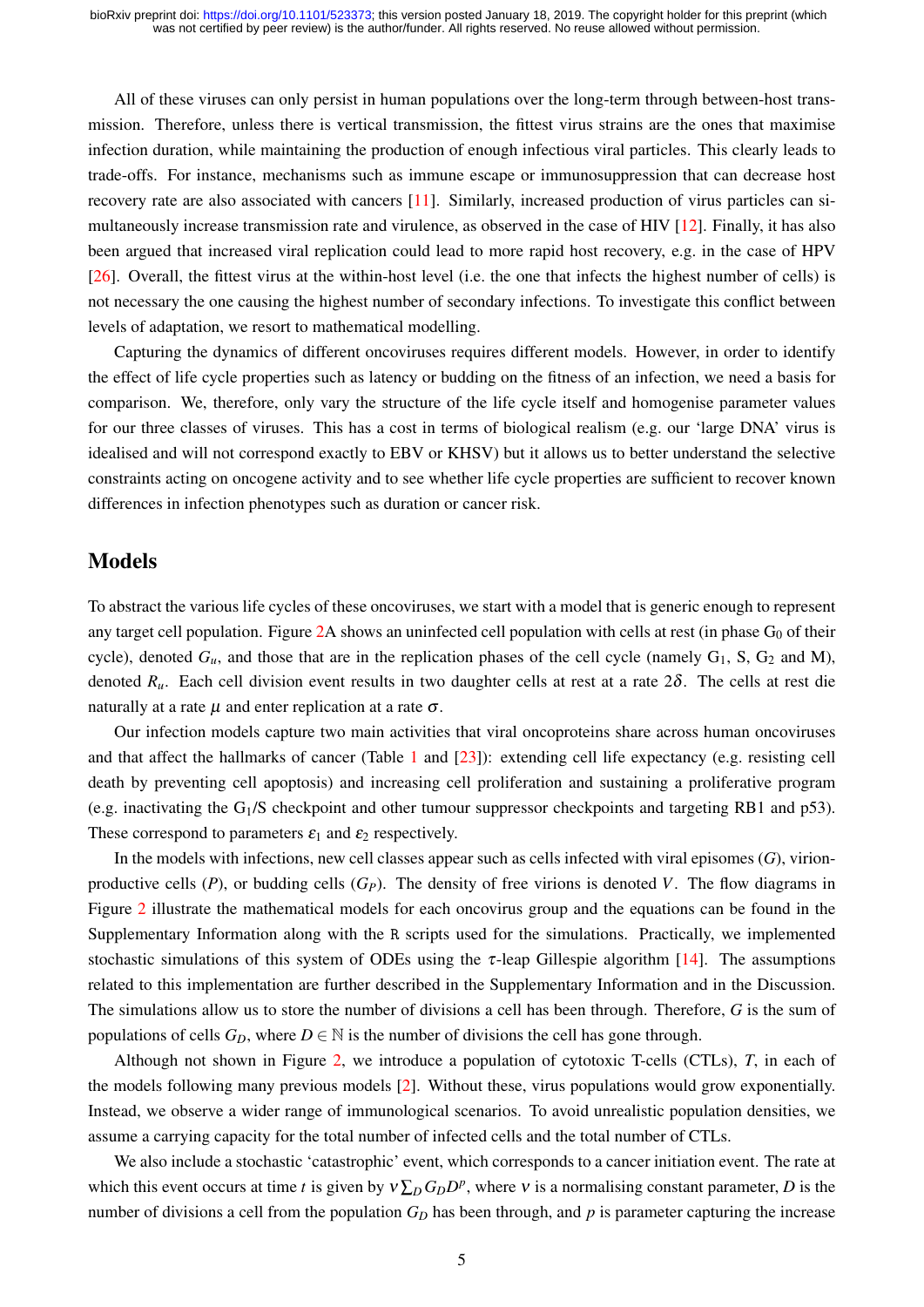All of these viruses can only persist in human populations over the long-term through between-host transmission. Therefore, unless there is vertical transmission, the fittest virus strains are the ones that maximise infection duration, while maintaining the production of enough infectious viral particles. This clearly leads to trade-offs. For instance, mechanisms such as immune escape or immunosuppression that can decrease host recovery rate are also associated with cancers [\[11\]](#page-12-7). Similarly, increased production of virus particles can simultaneously increase transmission rate and virulence, as observed in the case of HIV [\[12\]](#page-12-8). Finally, it has also been argued that increased viral replication could lead to more rapid host recovery, e.g. in the case of HPV [\[26\]](#page-13-6). Overall, the fittest virus at the within-host level (i.e. the one that infects the highest number of cells) is not necessary the one causing the highest number of secondary infections. To investigate this conflict between levels of adaptation, we resort to mathematical modelling.

Capturing the dynamics of different oncoviruses requires different models. However, in order to identify the effect of life cycle properties such as latency or budding on the fitness of an infection, we need a basis for comparison. We, therefore, only vary the structure of the life cycle itself and homogenise parameter values for our three classes of viruses. This has a cost in terms of biological realism (e.g. our 'large DNA' virus is idealised and will not correspond exactly to EBV or KHSV) but it allows us to better understand the selective constraints acting on oncogene activity and to see whether life cycle properties are sufficient to recover known differences in infection phenotypes such as duration or cancer risk.

## Models

To abstract the various life cycles of these oncoviruses, we start with a model that is generic enough to represent any target cell population. Figure  $2A$  shows an uninfected cell population with cells at rest (in phase  $G_0$  of their cycle), denoted  $G_u$ , and those that are in the replication phases of the cell cycle (namely  $G_1$ , S,  $G_2$  and M), denoted  $R_u$ . Each cell division event results in two daughter cells at rest at a rate  $2\delta$ . The cells at rest die naturally at a rate  $\mu$  and enter replication at a rate  $\sigma$ .

Our infection models capture two main activities that viral oncoproteins share across human oncoviruses and that affect the hallmarks of cancer (Table [1](#page-3-0) and [\[23\]](#page-12-0)): extending cell life expectancy (e.g. resisting cell death by preventing cell apoptosis) and increasing cell proliferation and sustaining a proliferative program (e.g. inactivating the G1/S checkpoint and other tumour suppressor checkpoints and targeting RB1 and p53). These correspond to parameters  $\varepsilon_1$  and  $\varepsilon_2$  respectively.

In the models with infections, new cell classes appear such as cells infected with viral episomes (*G*), virionproductive cells  $(P)$ , or budding cells  $(G_P)$ . The density of free virions is denoted *V*. The flow diagrams in Figure [2](#page-5-0) illustrate the mathematical models for each oncovirus group and the equations can be found in the Supplementary Information along with the R scripts used for the simulations. Practically, we implemented stochastic simulations of this system of ODEs using the  $\tau$ -leap Gillespie algorithm [\[14\]](#page-12-9). The assumptions related to this implementation are further described in the Supplementary Information and in the Discussion. The simulations allow us to store the number of divisions a cell has been through. Therefore, *G* is the sum of populations of cells  $G_D$ , where  $D \in \mathbb{N}$  is the number of divisions the cell has gone through.

Although not shown in Figure [2,](#page-5-0) we introduce a population of cytotoxic T-cells (CTLs), *T*, in each of the models following many previous models [\[2\]](#page-11-4). Without these, virus populations would grow exponentially. Instead, we observe a wider range of immunological scenarios. To avoid unrealistic population densities, we assume a carrying capacity for the total number of infected cells and the total number of CTLs.

We also include a stochastic 'catastrophic' event, which corresponds to a cancer initiation event. The rate at which this event occurs at time *t* is given by  $v \sum_D G_D D^p$ , where v is a normalising constant parameter, *D* is the number of divisions a cell from the population  $G<sub>D</sub>$  has been through, and  $p$  is parameter capturing the increase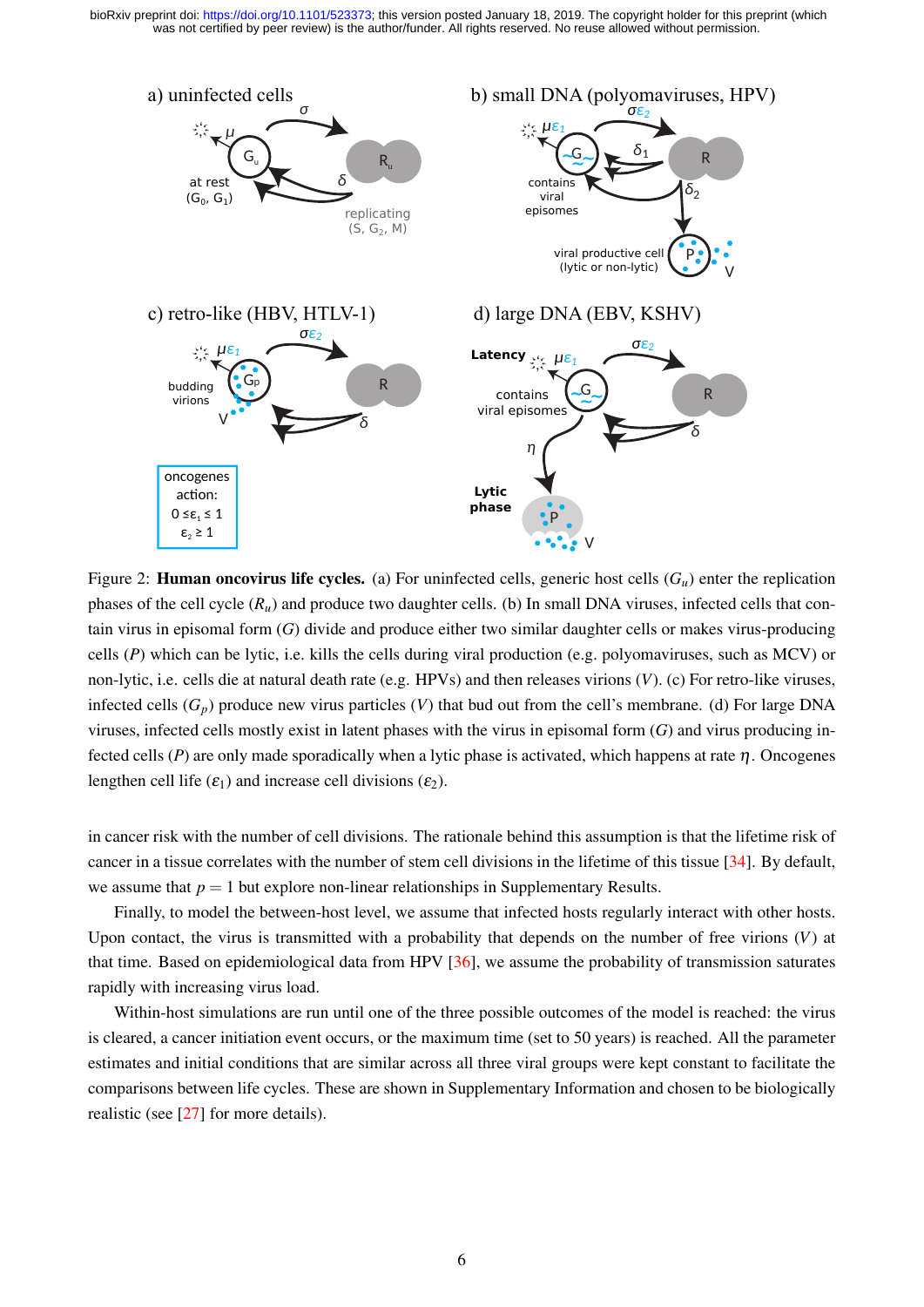<span id="page-5-0"></span>

Figure 2: **Human oncovirus life cycles.** (a) For uninfected cells, generic host cells  $(G_u)$  enter the replication phases of the cell cycle (*Ru*) and produce two daughter cells. (b) In small DNA viruses, infected cells that contain virus in episomal form (*G*) divide and produce either two similar daughter cells or makes virus-producing cells (*P*) which can be lytic, i.e. kills the cells during viral production (e.g. polyomaviruses, such as MCV) or non-lytic, i.e. cells die at natural death rate (e.g. HPVs) and then releases virions (*V*). (c) For retro-like viruses, infected cells  $(G_p)$  produce new virus particles  $(V)$  that bud out from the cell's membrane. (d) For large DNA viruses, infected cells mostly exist in latent phases with the virus in episomal form (*G*) and virus producing infected cells (*P*) are only made sporadically when a lytic phase is activated, which happens at rate  $\eta$ . Oncogenes lengthen cell life  $(\varepsilon_1)$  and increase cell divisions  $(\varepsilon_2)$ .

in cancer risk with the number of cell divisions. The rationale behind this assumption is that the lifetime risk of cancer in a tissue correlates with the number of stem cell divisions in the lifetime of this tissue [\[34\]](#page-13-7). By default, we assume that  $p = 1$  but explore non-linear relationships in Supplementary Results.

Finally, to model the between-host level, we assume that infected hosts regularly interact with other hosts. Upon contact, the virus is transmitted with a probability that depends on the number of free virions (*V*) at that time. Based on epidemiological data from HPV [\[36\]](#page-13-8), we assume the probability of transmission saturates rapidly with increasing virus load.

Within-host simulations are run until one of the three possible outcomes of the model is reached: the virus is cleared, a cancer initiation event occurs, or the maximum time (set to 50 years) is reached. All the parameter estimates and initial conditions that are similar across all three viral groups were kept constant to facilitate the comparisons between life cycles. These are shown in Supplementary Information and chosen to be biologically realistic (see [\[27\]](#page-13-9) for more details).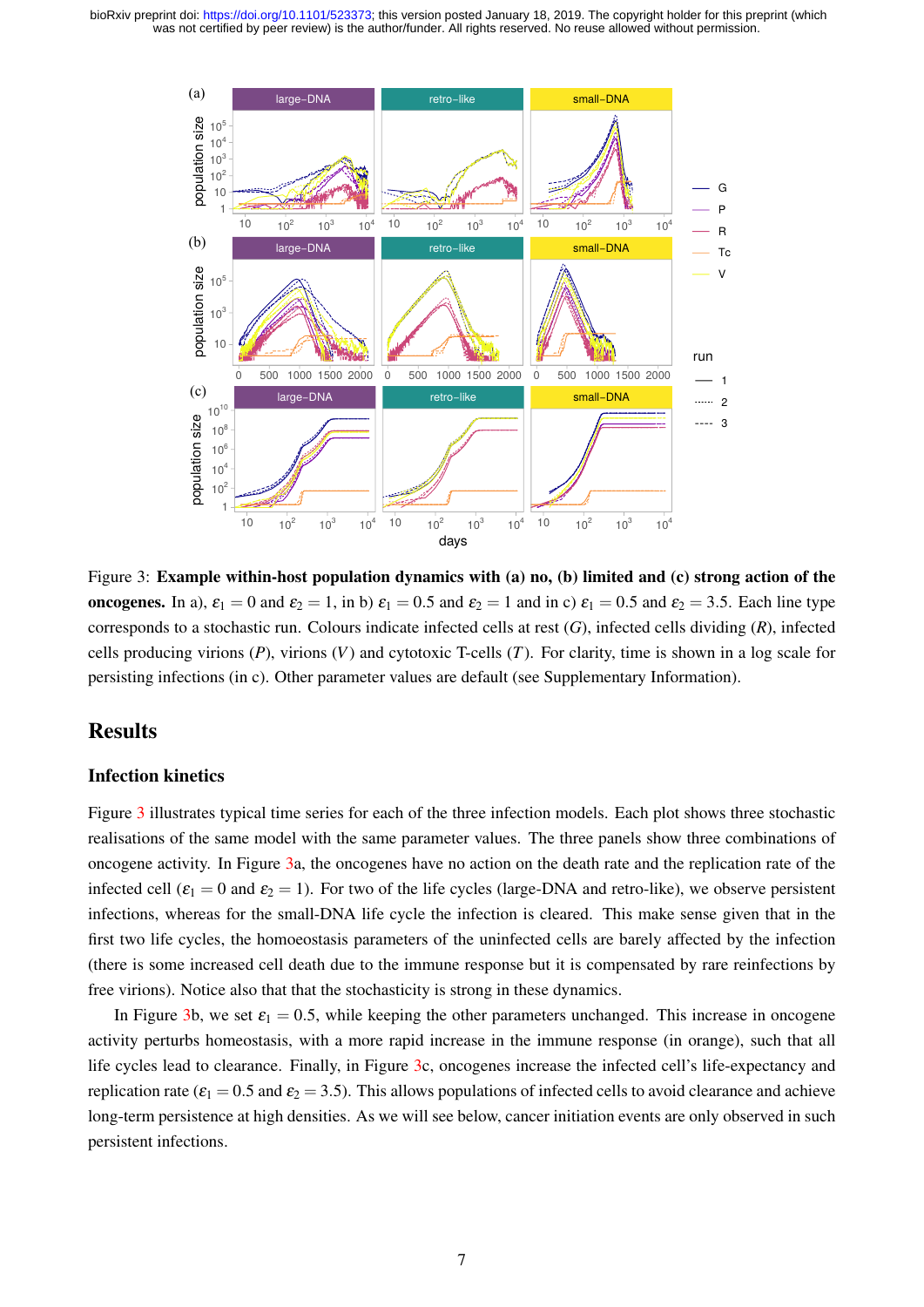<span id="page-6-0"></span>

Figure 3: Example within-host population dynamics with (a) no, (b) limited and (c) strong action of the oncogenes. In a),  $\varepsilon_1 = 0$  and  $\varepsilon_2 = 1$ , in b)  $\varepsilon_1 = 0.5$  and  $\varepsilon_2 = 1$  and in c)  $\varepsilon_1 = 0.5$  and  $\varepsilon_2 = 3.5$ . Each line type corresponds to a stochastic run. Colours indicate infected cells at rest (*G*), infected cells dividing (*R*), infected cells producing virions (*P*), virions (*V*) and cytotoxic T-cells (*T*). For clarity, time is shown in a log scale for persisting infections (in c). Other parameter values are default (see Supplementary Information).

## Results

### Infection kinetics

Figure [3](#page-6-0) illustrates typical time series for each of the three infection models. Each plot shows three stochastic realisations of the same model with the same parameter values. The three panels show three combinations of oncogene activity. In Figure [3a](#page-6-0), the oncogenes have no action on the death rate and the replication rate of the infected cell ( $\varepsilon_1 = 0$  and  $\varepsilon_2 = 1$ ). For two of the life cycles (large-DNA and retro-like), we observe persistent infections, whereas for the small-DNA life cycle the infection is cleared. This make sense given that in the first two life cycles, the homoeostasis parameters of the uninfected cells are barely affected by the infection (there is some increased cell death due to the immune response but it is compensated by rare reinfections by free virions). Notice also that that the stochasticity is strong in these dynamics.

In Figure [3b](#page-6-0), we set  $\varepsilon_1 = 0.5$ , while keeping the other parameters unchanged. This increase in oncogene activity perturbs homeostasis, with a more rapid increase in the immune response (in orange), such that all life cycles lead to clearance. Finally, in Figure [3c](#page-6-0), oncogenes increase the infected cell's life-expectancy and replication rate ( $\varepsilon_1 = 0.5$  and  $\varepsilon_2 = 3.5$ ). This allows populations of infected cells to avoid clearance and achieve long-term persistence at high densities. As we will see below, cancer initiation events are only observed in such persistent infections.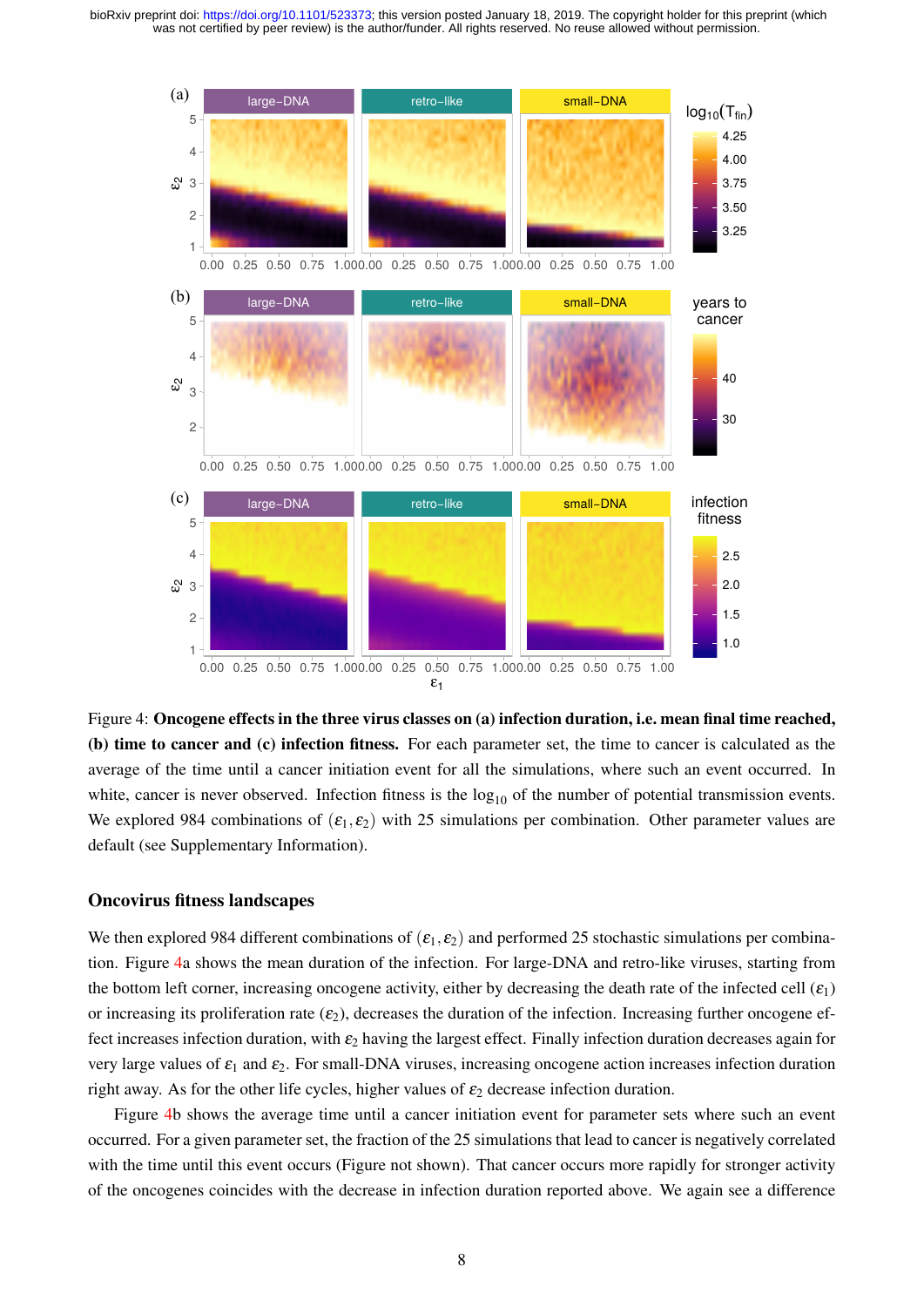<span id="page-7-0"></span>

Figure 4: Oncogene effects in the three virus classes on (a) infection duration, i.e. mean final time reached, (b) time to cancer and (c) infection fitness. For each parameter set, the time to cancer is calculated as the average of the time until a cancer initiation event for all the simulations, where such an event occurred. In white, cancer is never observed. Infection fitness is the  $log_{10}$  of the number of potential transmission events. We explored 984 combinations of  $(\varepsilon_1, \varepsilon_2)$  with 25 simulations per combination. Other parameter values are default (see Supplementary Information).

#### Oncovirus fitness landscapes

We then explored 984 different combinations of  $(\varepsilon_1, \varepsilon_2)$  and performed 25 stochastic simulations per combination. Figure [4a](#page-7-0) shows the mean duration of the infection. For large-DNA and retro-like viruses, starting from the bottom left corner, increasing oncogene activity, either by decreasing the death rate of the infected cell  $(\varepsilon_1)$ or increasing its proliferation rate  $(\varepsilon_2)$ , decreases the duration of the infection. Increasing further oncogene effect increases infection duration, with  $\varepsilon_2$  having the largest effect. Finally infection duration decreases again for very large values of  $\varepsilon_1$  and  $\varepsilon_2$ . For small-DNA viruses, increasing oncogene action increases infection duration right away. As for the other life cycles, higher values of  $\varepsilon_2$  decrease infection duration.

Figure [4b](#page-7-0) shows the average time until a cancer initiation event for parameter sets where such an event occurred. For a given parameter set, the fraction of the 25 simulations that lead to cancer is negatively correlated with the time until this event occurs (Figure not shown). That cancer occurs more rapidly for stronger activity of the oncogenes coincides with the decrease in infection duration reported above. We again see a difference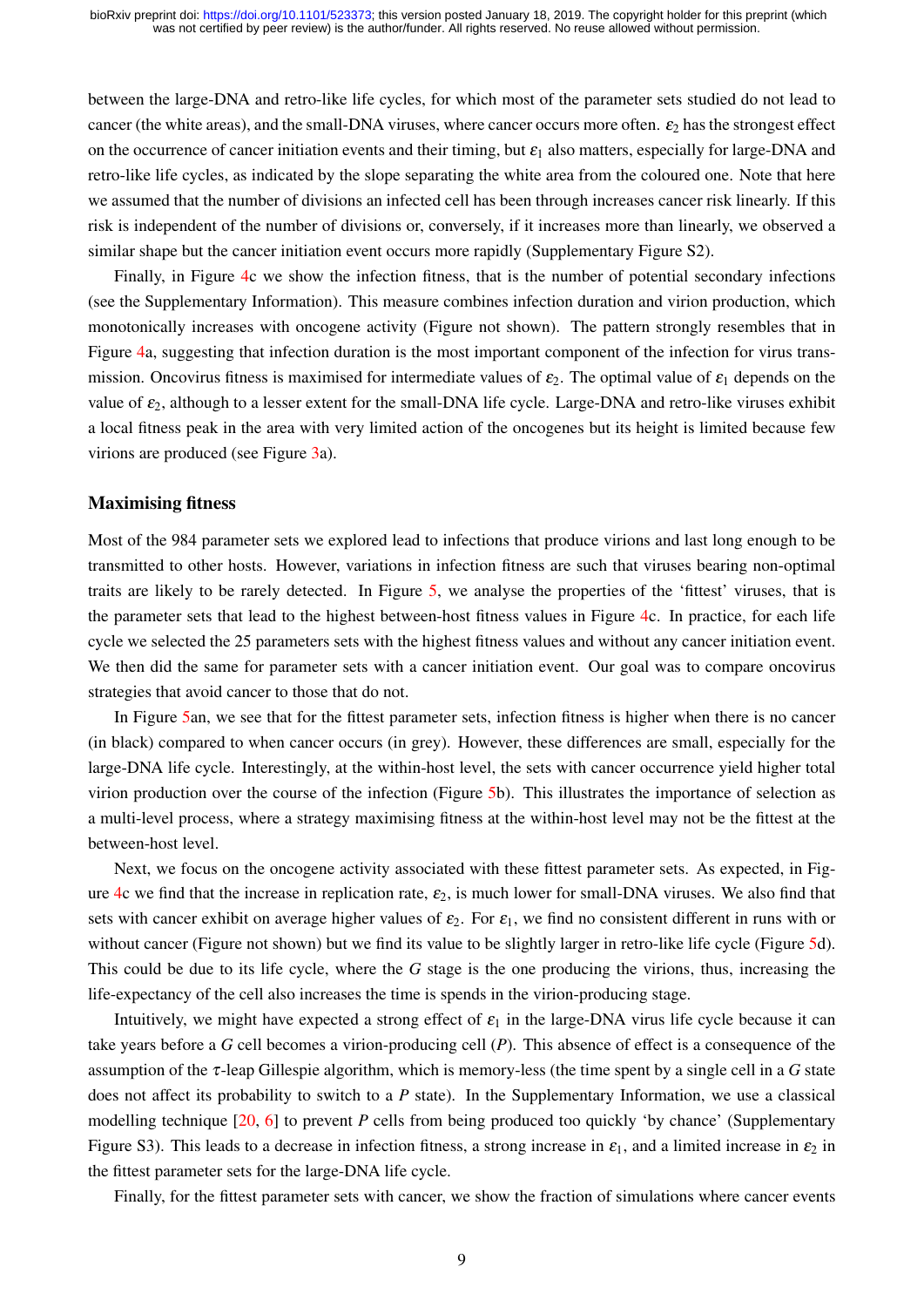between the large-DNA and retro-like life cycles, for which most of the parameter sets studied do not lead to cancer (the white areas), and the small-DNA viruses, where cancer occurs more often.  $\varepsilon_2$  has the strongest effect on the occurrence of cancer initiation events and their timing, but  $\varepsilon_1$  also matters, especially for large-DNA and retro-like life cycles, as indicated by the slope separating the white area from the coloured one. Note that here we assumed that the number of divisions an infected cell has been through increases cancer risk linearly. If this risk is independent of the number of divisions or, conversely, if it increases more than linearly, we observed a similar shape but the cancer initiation event occurs more rapidly (Supplementary Figure S2).

Finally, in Figure [4c](#page-7-0) we show the infection fitness, that is the number of potential secondary infections (see the Supplementary Information). This measure combines infection duration and virion production, which monotonically increases with oncogene activity (Figure not shown). The pattern strongly resembles that in Figure [4a](#page-7-0), suggesting that infection duration is the most important component of the infection for virus transmission. Oncovirus fitness is maximised for intermediate values of  $\varepsilon_2$ . The optimal value of  $\varepsilon_1$  depends on the value of  $\varepsilon_2$ , although to a lesser extent for the small-DNA life cycle. Large-DNA and retro-like viruses exhibit a local fitness peak in the area with very limited action of the oncogenes but its height is limited because few virions are produced (see Figure [3a](#page-6-0)).

### Maximising fitness

Most of the 984 parameter sets we explored lead to infections that produce virions and last long enough to be transmitted to other hosts. However, variations in infection fitness are such that viruses bearing non-optimal traits are likely to be rarely detected. In Figure [5,](#page-9-0) we analyse the properties of the 'fittest' viruses, that is the parameter sets that lead to the highest between-host fitness values in Figure [4c](#page-7-0). In practice, for each life cycle we selected the 25 parameters sets with the highest fitness values and without any cancer initiation event. We then did the same for parameter sets with a cancer initiation event. Our goal was to compare oncovirus strategies that avoid cancer to those that do not.

In Figure [5a](#page-9-0)n, we see that for the fittest parameter sets, infection fitness is higher when there is no cancer (in black) compared to when cancer occurs (in grey). However, these differences are small, especially for the large-DNA life cycle. Interestingly, at the within-host level, the sets with cancer occurrence yield higher total virion production over the course of the infection (Figure [5b](#page-9-0)). This illustrates the importance of selection as a multi-level process, where a strategy maximising fitness at the within-host level may not be the fittest at the between-host level.

Next, we focus on the oncogene activity associated with these fittest parameter sets. As expected, in Fig-ure [4c](#page-7-0) we find that the increase in replication rate,  $\varepsilon_2$ , is much lower for small-DNA viruses. We also find that sets with cancer exhibit on average higher values of  $\varepsilon_2$ . For  $\varepsilon_1$ , we find no consistent different in runs with or without cancer (Figure not shown) but we find its value to be slightly larger in retro-like life cycle (Figure [5d](#page-9-0)). This could be due to its life cycle, where the *G* stage is the one producing the virions, thus, increasing the life-expectancy of the cell also increases the time is spends in the virion-producing stage.

Intuitively, we might have expected a strong effect of  $\varepsilon_1$  in the large-DNA virus life cycle because it can take years before a *G* cell becomes a virion-producing cell (*P*). This absence of effect is a consequence of the assumption of the τ-leap Gillespie algorithm, which is memory-less (the time spent by a single cell in a *G* state does not affect its probability to switch to a *P* state). In the Supplementary Information, we use a classical modelling technique [\[20,](#page-12-10) [6\]](#page-11-5) to prevent *P* cells from being produced too quickly 'by chance' (Supplementary Figure S3). This leads to a decrease in infection fitness, a strong increase in  $\varepsilon_1$ , and a limited increase in  $\varepsilon_2$  in the fittest parameter sets for the large-DNA life cycle.

Finally, for the fittest parameter sets with cancer, we show the fraction of simulations where cancer events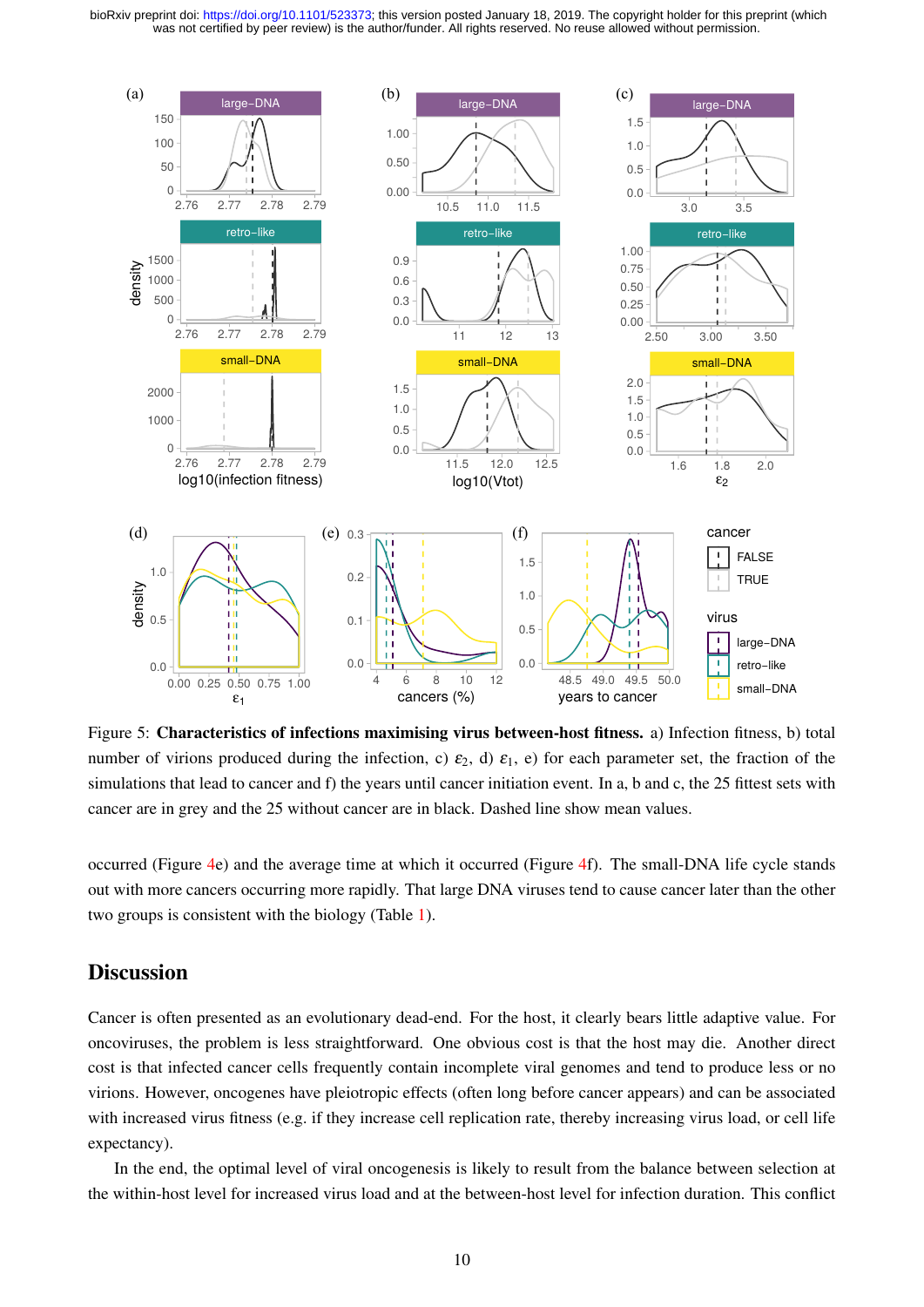<span id="page-9-0"></span>

Figure 5: Characteristics of infections maximising virus between-host fitness. a) Infection fitness, b) total number of virions produced during the infection, c)  $\varepsilon_2$ , d)  $\varepsilon_1$ , e) for each parameter set, the fraction of the simulations that lead to cancer and f) the years until cancer initiation event. In a, b and c, the 25 fittest sets with cancer are in grey and the 25 without cancer are in black. Dashed line show mean values.

occurred (Figure [4e](#page-7-0)) and the average time at which it occurred (Figure [4f](#page-7-0)). The small-DNA life cycle stands out with more cancers occurring more rapidly. That large DNA viruses tend to cause cancer later than the other two groups is consistent with the biology (Table [1\)](#page-3-0).

### **Discussion**

Cancer is often presented as an evolutionary dead-end. For the host, it clearly bears little adaptive value. For oncoviruses, the problem is less straightforward. One obvious cost is that the host may die. Another direct cost is that infected cancer cells frequently contain incomplete viral genomes and tend to produce less or no virions. However, oncogenes have pleiotropic effects (often long before cancer appears) and can be associated with increased virus fitness (e.g. if they increase cell replication rate, thereby increasing virus load, or cell life expectancy).

In the end, the optimal level of viral oncogenesis is likely to result from the balance between selection at the within-host level for increased virus load and at the between-host level for infection duration. This conflict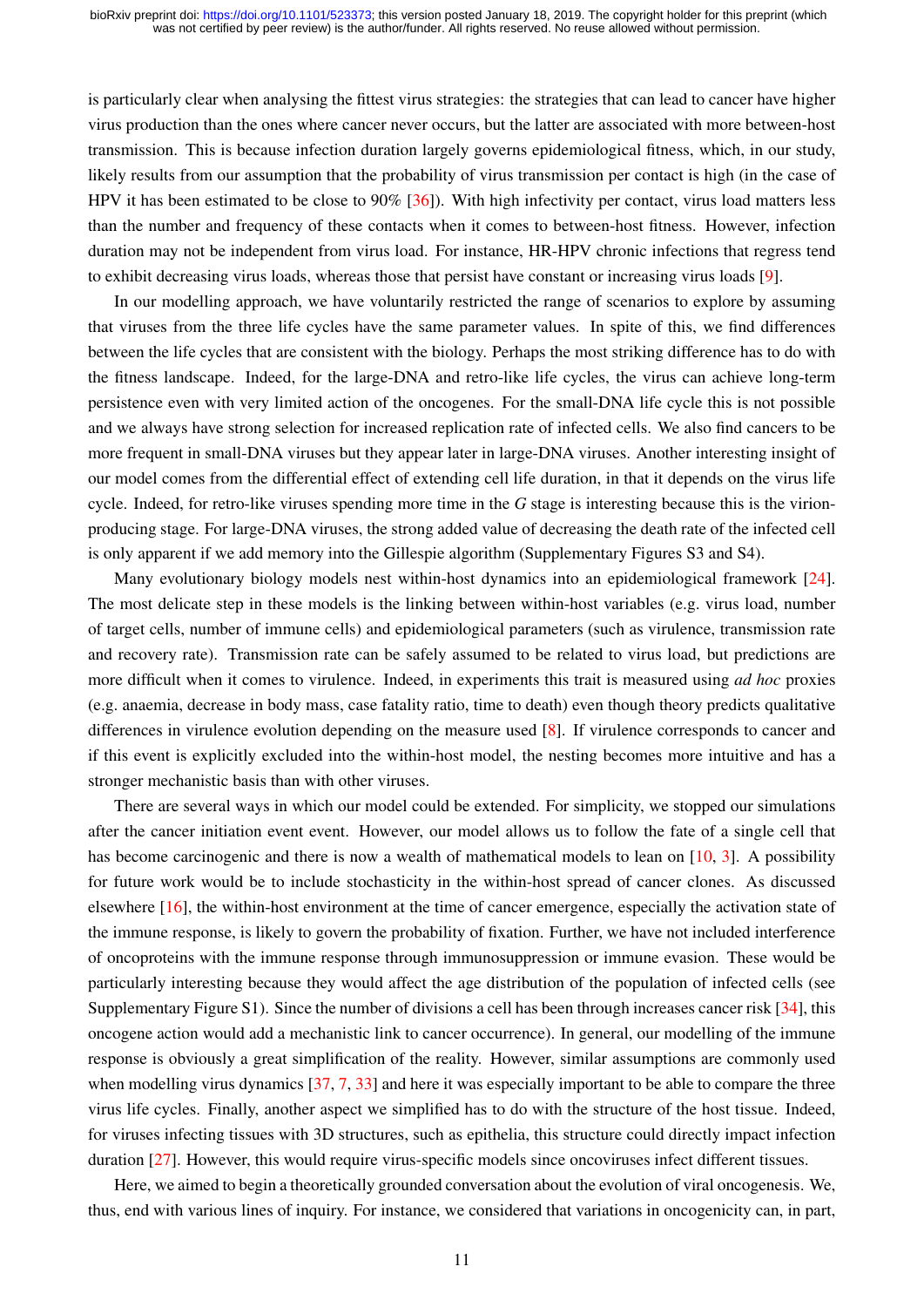is particularly clear when analysing the fittest virus strategies: the strategies that can lead to cancer have higher virus production than the ones where cancer never occurs, but the latter are associated with more between-host transmission. This is because infection duration largely governs epidemiological fitness, which, in our study, likely results from our assumption that the probability of virus transmission per contact is high (in the case of HPV it has been estimated to be close to 90% [\[36\]](#page-13-8)). With high infectivity per contact, virus load matters less than the number and frequency of these contacts when it comes to between-host fitness. However, infection duration may not be independent from virus load. For instance, HR-HPV chronic infections that regress tend to exhibit decreasing virus loads, whereas those that persist have constant or increasing virus loads [\[9\]](#page-12-11).

In our modelling approach, we have voluntarily restricted the range of scenarios to explore by assuming that viruses from the three life cycles have the same parameter values. In spite of this, we find differences between the life cycles that are consistent with the biology. Perhaps the most striking difference has to do with the fitness landscape. Indeed, for the large-DNA and retro-like life cycles, the virus can achieve long-term persistence even with very limited action of the oncogenes. For the small-DNA life cycle this is not possible and we always have strong selection for increased replication rate of infected cells. We also find cancers to be more frequent in small-DNA viruses but they appear later in large-DNA viruses. Another interesting insight of our model comes from the differential effect of extending cell life duration, in that it depends on the virus life cycle. Indeed, for retro-like viruses spending more time in the *G* stage is interesting because this is the virionproducing stage. For large-DNA viruses, the strong added value of decreasing the death rate of the infected cell is only apparent if we add memory into the Gillespie algorithm (Supplementary Figures S3 and S4).

Many evolutionary biology models nest within-host dynamics into an epidemiological framework [\[24\]](#page-13-2). The most delicate step in these models is the linking between within-host variables (e.g. virus load, number of target cells, number of immune cells) and epidemiological parameters (such as virulence, transmission rate and recovery rate). Transmission rate can be safely assumed to be related to virus load, but predictions are more difficult when it comes to virulence. Indeed, in experiments this trait is measured using *ad hoc* proxies (e.g. anaemia, decrease in body mass, case fatality ratio, time to death) even though theory predicts qualitative differences in virulence evolution depending on the measure used [\[8\]](#page-12-12). If virulence corresponds to cancer and if this event is explicitly excluded into the within-host model, the nesting becomes more intuitive and has a stronger mechanistic basis than with other viruses.

There are several ways in which our model could be extended. For simplicity, we stopped our simulations after the cancer initiation event event. However, our model allows us to follow the fate of a single cell that has become carcinogenic and there is now a wealth of mathematical models to lean on [\[10,](#page-12-13) [3\]](#page-11-2). A possibility for future work would be to include stochasticity in the within-host spread of cancer clones. As discussed elsewhere [\[16\]](#page-12-14), the within-host environment at the time of cancer emergence, especially the activation state of the immune response, is likely to govern the probability of fixation. Further, we have not included interference of oncoproteins with the immune response through immunosuppression or immune evasion. These would be particularly interesting because they would affect the age distribution of the population of infected cells (see Supplementary Figure S1). Since the number of divisions a cell has been through increases cancer risk [\[34\]](#page-13-7), this oncogene action would add a mechanistic link to cancer occurrence). In general, our modelling of the immune response is obviously a great simplification of the reality. However, similar assumptions are commonly used when modelling virus dynamics [\[37,](#page-13-10) [7,](#page-11-6) [33\]](#page-13-11) and here it was especially important to be able to compare the three virus life cycles. Finally, another aspect we simplified has to do with the structure of the host tissue. Indeed, for viruses infecting tissues with 3D structures, such as epithelia, this structure could directly impact infection duration [\[27\]](#page-13-9). However, this would require virus-specific models since oncoviruses infect different tissues.

Here, we aimed to begin a theoretically grounded conversation about the evolution of viral oncogenesis. We, thus, end with various lines of inquiry. For instance, we considered that variations in oncogenicity can, in part,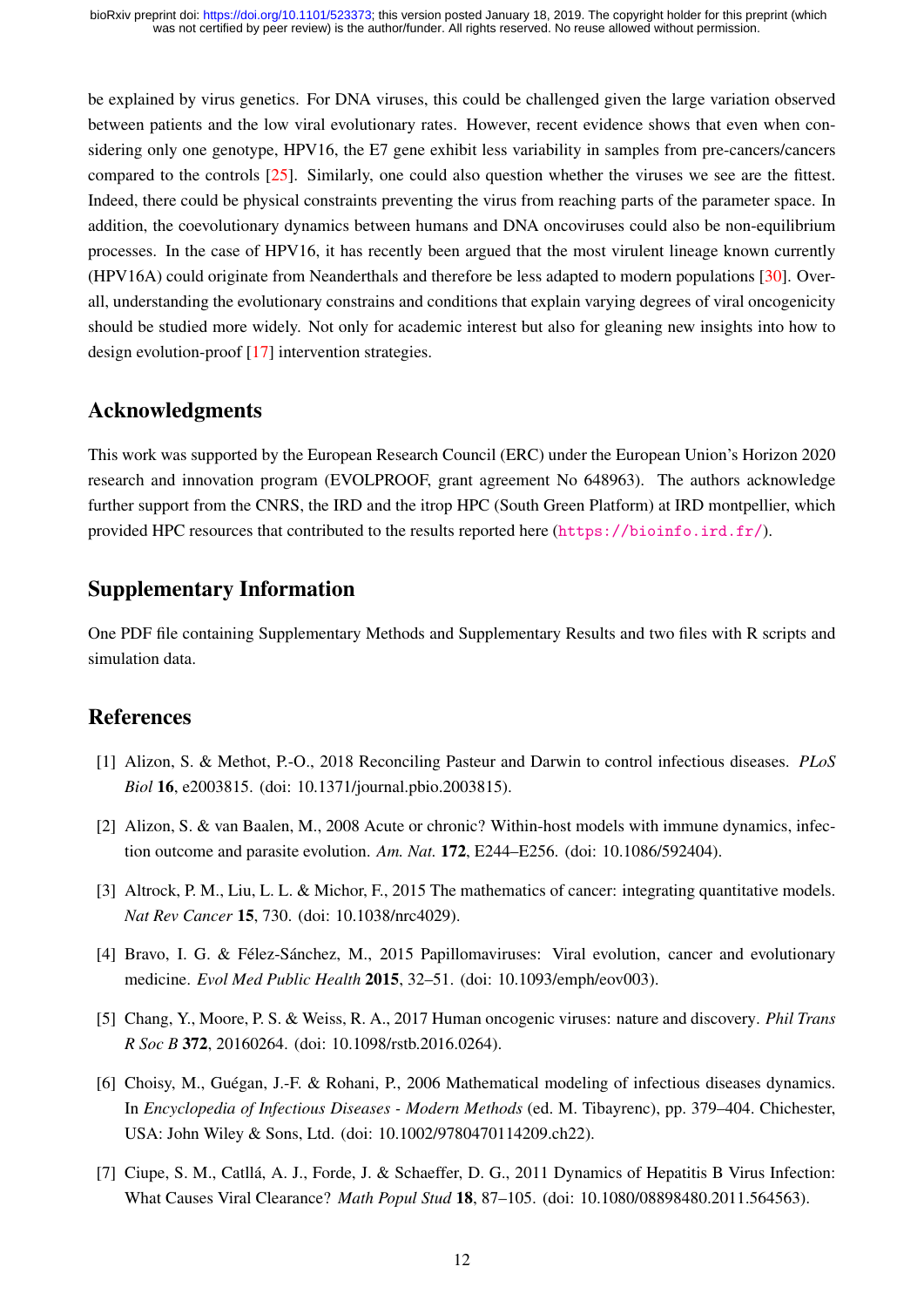be explained by virus genetics. For DNA viruses, this could be challenged given the large variation observed between patients and the low viral evolutionary rates. However, recent evidence shows that even when considering only one genotype, HPV16, the E7 gene exhibit less variability in samples from pre-cancers/cancers compared to the controls [\[25\]](#page-13-12). Similarly, one could also question whether the viruses we see are the fittest. Indeed, there could be physical constraints preventing the virus from reaching parts of the parameter space. In addition, the coevolutionary dynamics between humans and DNA oncoviruses could also be non-equilibrium processes. In the case of HPV16, it has recently been argued that the most virulent lineage known currently (HPV16A) could originate from Neanderthals and therefore be less adapted to modern populations [\[30\]](#page-13-13). Overall, understanding the evolutionary constrains and conditions that explain varying degrees of viral oncogenicity should be studied more widely. Not only for academic interest but also for gleaning new insights into how to design evolution-proof [\[17\]](#page-12-15) intervention strategies.

# Acknowledgments

This work was supported by the European Research Council (ERC) under the European Union's Horizon 2020 research and innovation program (EVOLPROOF, grant agreement No 648963). The authors acknowledge further support from the CNRS, the IRD and the itrop HPC (South Green Platform) at IRD montpellier, which provided HPC resources that contributed to the results reported here (<https://bioinfo.ird.fr/>).

# Supplementary Information

One PDF file containing Supplementary Methods and Supplementary Results and two files with R scripts and simulation data.

# References

- <span id="page-11-0"></span>[1] Alizon, S. & Methot, P.-O., 2018 Reconciling Pasteur and Darwin to control infectious diseases. *PLoS Biol* 16, e2003815. (doi: 10.1371/journal.pbio.2003815).
- <span id="page-11-4"></span>[2] Alizon, S. & van Baalen, M., 2008 Acute or chronic? Within-host models with immune dynamics, infection outcome and parasite evolution. *Am. Nat.* 172, E244–E256. (doi: 10.1086/592404).
- <span id="page-11-2"></span>[3] Altrock, P. M., Liu, L. L. & Michor, F., 2015 The mathematics of cancer: integrating quantitative models. *Nat Rev Cancer* 15, 730. (doi: 10.1038/nrc4029).
- <span id="page-11-3"></span>[4] Bravo, I. G. & Félez-Sánchez, M., 2015 Papillomaviruses: Viral evolution, cancer and evolutionary medicine. *Evol Med Public Health* 2015, 32–51. (doi: 10.1093/emph/eov003).
- <span id="page-11-1"></span>[5] Chang, Y., Moore, P. S. & Weiss, R. A., 2017 Human oncogenic viruses: nature and discovery. *Phil Trans R Soc B* 372, 20160264. (doi: 10.1098/rstb.2016.0264).
- <span id="page-11-5"></span>[6] Choisy, M., Guégan, J.-F. & Rohani, P., 2006 Mathematical modeling of infectious diseases dynamics. In *Encyclopedia of Infectious Diseases - Modern Methods* (ed. M. Tibayrenc), pp. 379–404. Chichester, USA: John Wiley & Sons, Ltd. (doi: 10.1002/9780470114209.ch22).
- <span id="page-11-6"></span>[7] Ciupe, S. M., Catllá, A. J., Forde, J. & Schaeffer, D. G., 2011 Dynamics of Hepatitis B Virus Infection: What Causes Viral Clearance? *Math Popul Stud* 18, 87–105. (doi: 10.1080/08898480.2011.564563).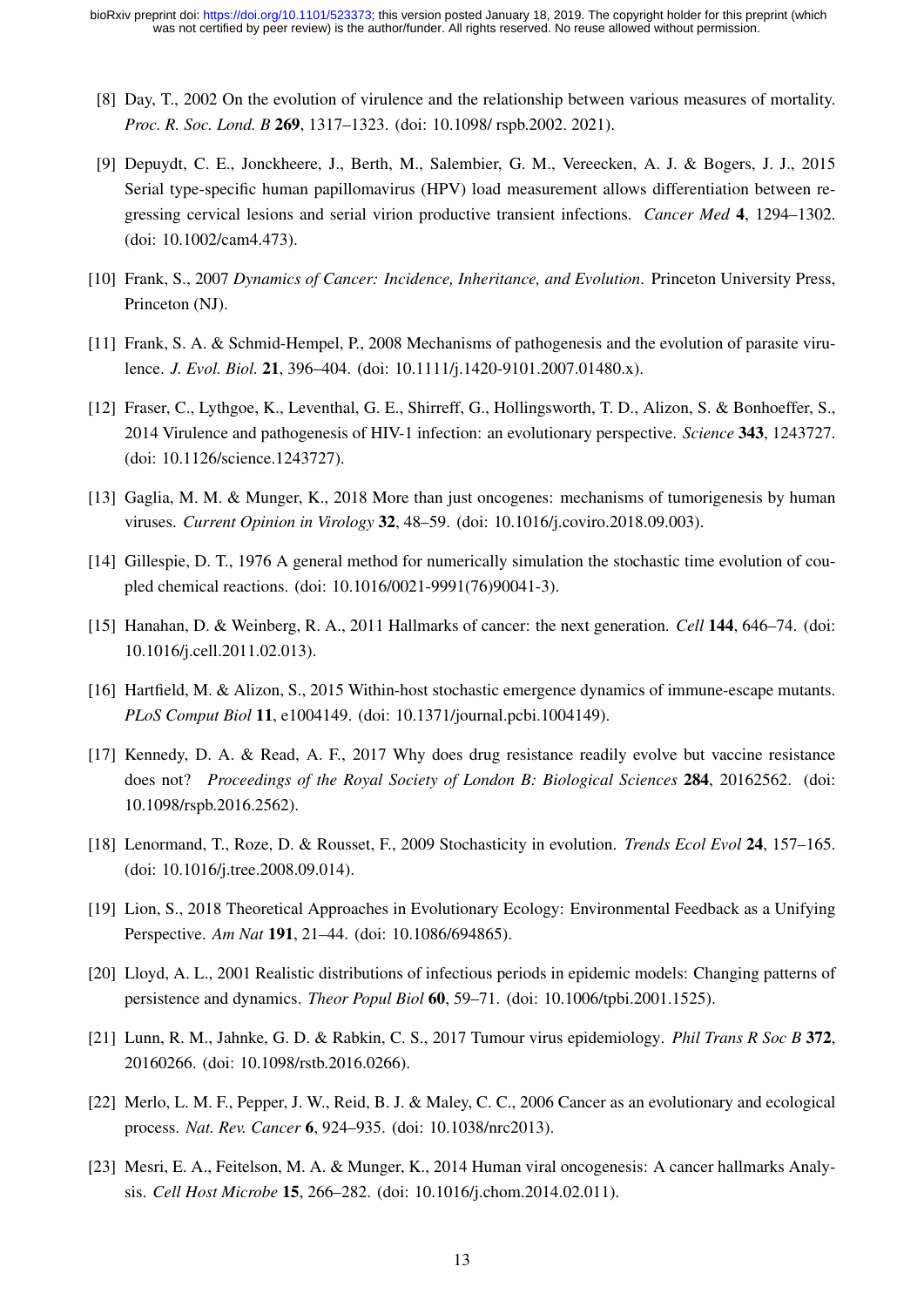- <span id="page-12-12"></span>[8] Day, T., 2002 On the evolution of virulence and the relationship between various measures of mortality. *Proc. R. Soc. Lond. B* 269, 1317–1323. (doi: 10.1098/ rspb.2002. 2021).
- <span id="page-12-11"></span>[9] Depuydt, C. E., Jonckheere, J., Berth, M., Salembier, G. M., Vereecken, A. J. & Bogers, J. J., 2015 Serial type-specific human papillomavirus (HPV) load measurement allows differentiation between regressing cervical lesions and serial virion productive transient infections. *Cancer Med* 4, 1294–1302. (doi: 10.1002/cam4.473).
- <span id="page-12-13"></span>[10] Frank, S., 2007 *Dynamics of Cancer: Incidence, Inheritance, and Evolution*. Princeton University Press, Princeton (NJ).
- <span id="page-12-7"></span>[11] Frank, S. A. & Schmid-Hempel, P., 2008 Mechanisms of pathogenesis and the evolution of parasite virulence. *J. Evol. Biol.* 21, 396–404. (doi: 10.1111/j.1420-9101.2007.01480.x).
- <span id="page-12-8"></span>[12] Fraser, C., Lythgoe, K., Leventhal, G. E., Shirreff, G., Hollingsworth, T. D., Alizon, S. & Bonhoeffer, S., 2014 Virulence and pathogenesis of HIV-1 infection: an evolutionary perspective. *Science* 343, 1243727. (doi: 10.1126/science.1243727).
- <span id="page-12-2"></span>[13] Gaglia, M. M. & Munger, K., 2018 More than just oncogenes: mechanisms of tumorigenesis by human viruses. *Current Opinion in Virology* 32, 48–59. (doi: 10.1016/j.coviro.2018.09.003).
- <span id="page-12-9"></span>[14] Gillespie, D. T., 1976 A general method for numerically simulation the stochastic time evolution of coupled chemical reactions. (doi: 10.1016/0021-9991(76)90041-3).
- <span id="page-12-3"></span>[15] Hanahan, D. & Weinberg, R. A., 2011 Hallmarks of cancer: the next generation. *Cell* 144, 646–74. (doi: 10.1016/j.cell.2011.02.013).
- <span id="page-12-14"></span>[16] Hartfield, M. & Alizon, S., 2015 Within-host stochastic emergence dynamics of immune-escape mutants. *PLoS Comput Biol* 11, e1004149. (doi: 10.1371/journal.pcbi.1004149).
- <span id="page-12-15"></span>[17] Kennedy, D. A. & Read, A. F., 2017 Why does drug resistance readily evolve but vaccine resistance does not? *Proceedings of the Royal Society of London B: Biological Sciences* 284, 20162562. (doi: 10.1098/rspb.2016.2562).
- <span id="page-12-4"></span>[18] Lenormand, T., Roze, D. & Rousset, F., 2009 Stochasticity in evolution. *Trends Ecol Evol* 24, 157–165. (doi: 10.1016/j.tree.2008.09.014).
- <span id="page-12-5"></span>[19] Lion, S., 2018 Theoretical Approaches in Evolutionary Ecology: Environmental Feedback as a Unifying Perspective. *Am Nat* 191, 21–44. (doi: 10.1086/694865).
- <span id="page-12-10"></span>[20] Lloyd, A. L., 2001 Realistic distributions of infectious periods in epidemic models: Changing patterns of persistence and dynamics. *Theor Popul Biol* 60, 59–71. (doi: 10.1006/tpbi.2001.1525).
- <span id="page-12-6"></span>[21] Lunn, R. M., Jahnke, G. D. & Rabkin, C. S., 2017 Tumour virus epidemiology. *Phil Trans R Soc B* 372, 20160266. (doi: 10.1098/rstb.2016.0266).
- <span id="page-12-1"></span>[22] Merlo, L. M. F., Pepper, J. W., Reid, B. J. & Maley, C. C., 2006 Cancer as an evolutionary and ecological process. *Nat. Rev. Cancer* 6, 924–935. (doi: 10.1038/nrc2013).
- <span id="page-12-0"></span>[23] Mesri, E. A., Feitelson, M. A. & Munger, K., 2014 Human viral oncogenesis: A cancer hallmarks Analysis. *Cell Host Microbe* 15, 266–282. (doi: 10.1016/j.chom.2014.02.011).